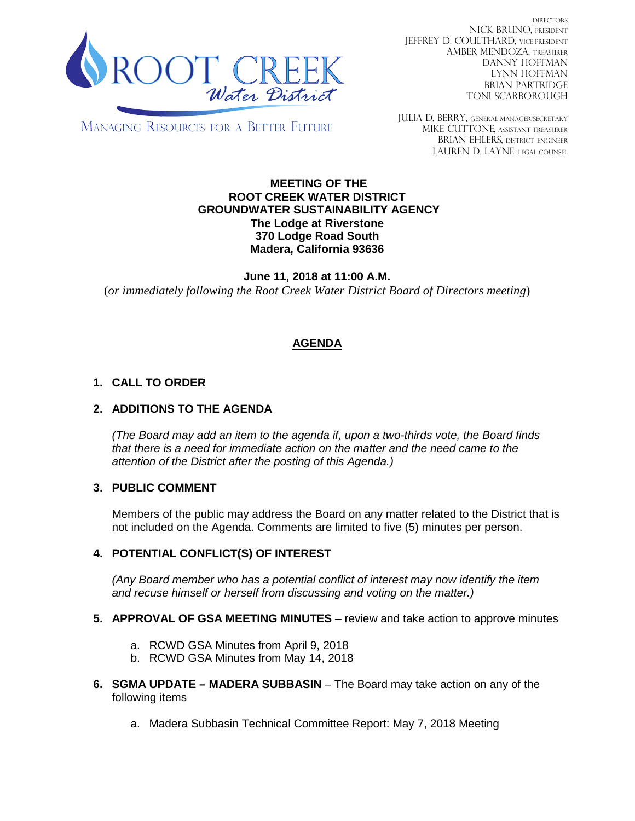

DIRECTORS NICK BRUNO, PRESIDENT JEFFREY D. COULTHARD, VICE PRESIDENT AMBER MENDOZA, TREASURER DANNY HOFFMAN LYNN HOFFMAN BRIAN PARTRIDGE TONI SCARBOROUGH

MANAGING RESOURCES FOR A BETTER FUTURE

JULIA D. BERRY, GENERAL MANAGER/secretary MIKE CUTTONE, Assistant treasurer BRIAN EHLERS, DISTRICT ENGINEER LAUREN D. LAYNE, LEGAL COUNSEL

#### **MEETING OF THE ROOT CREEK WATER DISTRICT GROUNDWATER SUSTAINABILITY AGENCY The Lodge at Riverstone 370 Lodge Road South Madera, California 93636**

**June 11, 2018 at 11:00 A.M.** (*or immediately following the Root Creek Water District Board of Directors meeting*)

# **AGENDA**

### **1. CALL TO ORDER**

### **2. ADDITIONS TO THE AGENDA**

*(The Board may add an item to the agenda if, upon a two-thirds vote, the Board finds that there is a need for immediate action on the matter and the need came to the attention of the District after the posting of this Agenda.)*

#### **3. PUBLIC COMMENT**

Members of the public may address the Board on any matter related to the District that is not included on the Agenda. Comments are limited to five (5) minutes per person.

#### **4. POTENTIAL CONFLICT(S) OF INTEREST**

*(Any Board member who has a potential conflict of interest may now identify the item and recuse himself or herself from discussing and voting on the matter.)*

- **5. APPROVAL OF GSA MEETING MINUTES** review and take action to approve minutes
	- a. RCWD GSA Minutes from April 9, 2018
	- b. RCWD GSA Minutes from May 14, 2018
- **6. SGMA UPDATE – MADERA SUBBASIN** The Board may take action on any of the following items
	- a. Madera Subbasin Technical Committee Report: May 7, 2018 Meeting